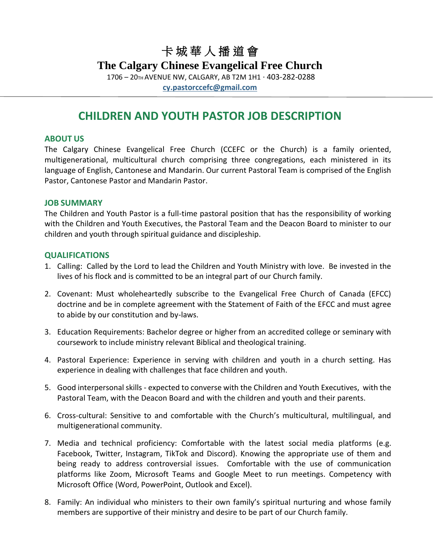# 卡 城 華 人 播 道 會

### **The Calgary Chinese Evangelical Free Church**

1706 – 20TH AVENUE NW, CALGARY, AB T2M 1H1 · 403-282-0288

**[cy.pastorccefc@gmail.com](mailto:cy.pastorccefc@gmail.com)**

## **CHILDREN AND YOUTH PASTOR JOB DESCRIPTION**

#### **ABOUT US**

The Calgary Chinese Evangelical Free Church (CCEFC or the Church) is a family oriented, multigenerational, multicultural church comprising three congregations, each ministered in its language of English, Cantonese and Mandarin. Our current Pastoral Team is comprised of the English Pastor, Cantonese Pastor and Mandarin Pastor.

#### **JOB SUMMARY**

The Children and Youth Pastor is a full-time pastoral position that has the responsibility of working with the Children and Youth Executives, the Pastoral Team and the Deacon Board to minister to our children and youth through spiritual guidance and discipleship.

#### **QUALIFICATIONS**

- 1. Calling: Called by the Lord to lead the Children and Youth Ministry with love. Be invested in the lives of his flock and is committed to be an integral part of our Church family.
- 2. Covenant: Must wholeheartedly subscribe to the Evangelical Free Church of Canada (EFCC) doctrine and be in complete agreement with the Statement of Faith of the EFCC and must agree to abide by our constitution and by-laws.
- 3. Education Requirements: Bachelor degree or higher from an accredited college or seminary with coursework to include ministry relevant Biblical and theological training.
- 4. Pastoral Experience: Experience in serving with children and youth in a church setting. Has experience in dealing with challenges that face children and youth.
- 5. Good interpersonal skills expected to converse with the Children and Youth Executives, with the Pastoral Team, with the Deacon Board and with the children and youth and their parents.
- 6. Cross-cultural: Sensitive to and comfortable with the Church's multicultural, multilingual, and multigenerational community.
- 7. Media and technical proficiency: Comfortable with the latest social media platforms (e.g. Facebook, Twitter, Instagram, TikTok and Discord). Knowing the appropriate use of them and being ready to address controversial issues. Comfortable with the use of communication platforms like Zoom, Microsoft Teams and Google Meet to run meetings. Competency with Microsoft Office (Word, PowerPoint, Outlook and Excel).
- 8. Family: An individual who ministers to their own family's spiritual nurturing and whose family members are supportive of their ministry and desire to be part of our Church family.